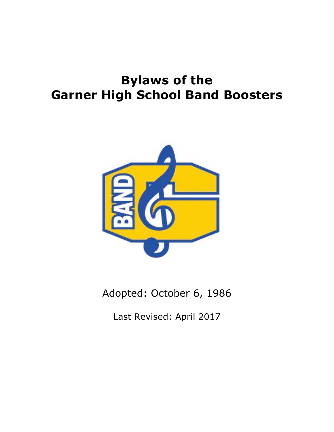# **Bylaws of the Garner High School Band Boosters**



Adopted: October 6, 1986

Last Revised: April 2017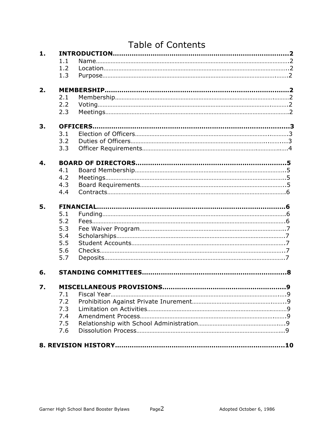|               | <b>Table of Contents</b> |  |  |  |  |
|---------------|--------------------------|--|--|--|--|
| 1.            |                          |  |  |  |  |
|               | 1.1                      |  |  |  |  |
|               | 1.2                      |  |  |  |  |
|               | 1.3                      |  |  |  |  |
| 2.            |                          |  |  |  |  |
|               | 2.1                      |  |  |  |  |
|               | 2.2                      |  |  |  |  |
|               | 2.3                      |  |  |  |  |
| 3.            |                          |  |  |  |  |
|               | 3.1                      |  |  |  |  |
|               | 3.2                      |  |  |  |  |
|               | 3.3                      |  |  |  |  |
|               |                          |  |  |  |  |
| $\mathbf 4$ . |                          |  |  |  |  |
|               | 4.1                      |  |  |  |  |
|               | 4.2                      |  |  |  |  |
|               | 4.3                      |  |  |  |  |
|               | 4.4                      |  |  |  |  |
| 5.            |                          |  |  |  |  |
|               | 5.1                      |  |  |  |  |
|               | 5.2                      |  |  |  |  |
|               | 5.3                      |  |  |  |  |
|               | 5.4                      |  |  |  |  |
|               | 5.5                      |  |  |  |  |
|               | 5.6                      |  |  |  |  |
|               | 5.7                      |  |  |  |  |
| 6.            |                          |  |  |  |  |
| 7.            |                          |  |  |  |  |
|               | 7.1                      |  |  |  |  |
|               | 7.2                      |  |  |  |  |
|               | 7.3                      |  |  |  |  |
|               | 7.4                      |  |  |  |  |
|               | 7.5                      |  |  |  |  |
|               | 7.6                      |  |  |  |  |
|               |                          |  |  |  |  |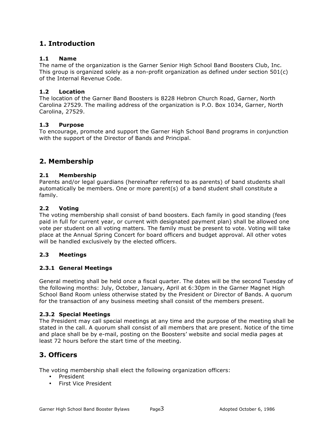# **1. Introduction**

# **1.1 Name**

The name of the organization is the Garner Senior High School Band Boosters Club, Inc. This group is organized solely as a non-profit organization as defined under section 501(c) of the Internal Revenue Code.

# **1.2 Location**

The location of the Garner Band Boosters is 8228 Hebron Church Road, Garner, North Carolina 27529. The mailing address of the organization is P.O. Box 1034, Garner, North Carolina, 27529.

# **1.3 Purpose**

To encourage, promote and support the Garner High School Band programs in conjunction with the support of the Director of Bands and Principal.

# **2. Membership**

# **2.1 Membership**

Parents and/or legal guardians (hereinafter referred to as parents) of band students shall automatically be members. One or more parent(s) of a band student shall constitute a family.

# **2.2 Voting**

The voting membership shall consist of band boosters. Each family in good standing (fees paid in full for current year, or current with designated payment plan) shall be allowed one vote per student on all voting matters. The family must be present to vote. Voting will take place at the Annual Spring Concert for board officers and budget approval. All other votes will be handled exclusively by the elected officers.

# **2.3 Meetings**

## **2.3.1 General Meetings**

General meeting shall be held once a fiscal quarter. The dates will be the second Tuesday of the following months: July, October, January, April at 6:30pm in the Garner Magnet High School Band Room unless otherwise stated by the President or Director of Bands. A quorum for the transaction of any business meeting shall consist of the members present.

## **2.3.2 Special Meetings**

The President may call special meetings at any time and the purpose of the meeting shall be stated in the call. A quorum shall consist of all members that are present. Notice of the time and place shall be by e-mail, posting on the Boosters' website and social media pages at least 72 hours before the start time of the meeting.

# **3. Officers**

The voting membership shall elect the following organization officers:

- President
- First Vice President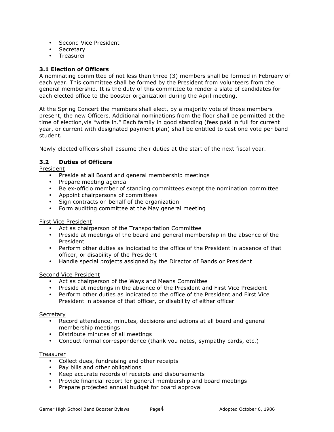- Second Vice President
- Secretary
- Treasurer

# **3.1 Election of Officers**

A nominating committee of not less than three (3) members shall be formed in February of each year. This committee shall be formed by the President from volunteers from the general membership. It is the duty of this committee to render a slate of candidates for each elected office to the booster organization during the April meeting.

At the Spring Concert the members shall elect, by a majority vote of those members present, the new Officers. Additional nominations from the floor shall be permitted at the time of election,via "write in." Each family in good standing (fees paid in full for current year, or current with designated payment plan) shall be entitled to cast one vote per band student.

Newly elected officers shall assume their duties at the start of the next fiscal year.

# **3.2 Duties of Officers**

President

- Preside at all Board and general membership meetings
- Prepare meeting agenda
- Be ex-officio member of standing committees except the nomination committee
- Appoint chairpersons of committees
- Sign contracts on behalf of the organization
- Form auditing committee at the May general meeting

## First Vice President

- Act as chairperson of the Transportation Committee
- Preside at meetings of the board and general membership in the absence of the President
- Perform other duties as indicated to the office of the President in absence of that officer, or disability of the President
- Handle special projects assigned by the Director of Bands or President

## Second Vice President

- Act as chairperson of the Ways and Means Committee
- Preside at meetings in the absence of the President and First Vice President
- Perform other duties as indicated to the office of the President and First Vice President in absence of that officer, or disability of either officer

#### **Secretary**

- Record attendance, minutes, decisions and actions at all board and general membership meetings
- Distribute minutes of all meetings
- Conduct formal correspondence (thank you notes, sympathy cards, etc.)

#### Treasurer

- Collect dues, fundraising and other receipts
- Pay bills and other obligations
- Keep accurate records of receipts and disbursements
- Provide financial report for general membership and board meetings
- Prepare projected annual budget for board approval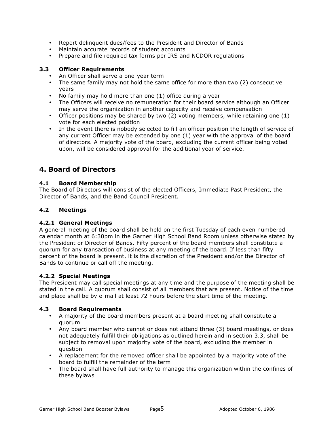- Report delinquent dues/fees to the President and Director of Bands
- Maintain accurate records of student accounts
- Prepare and file required tax forms per IRS and NCDOR regulations

## **3.3 Officer Requirements**

- An Officer shall serve a one-year term
- The same family may not hold the same office for more than two (2) consecutive years
- No family may hold more than one (1) office during a year
- The Officers will receive no remuneration for their board service although an Officer may serve the organization in another capacity and receive compensation
- Officer positions may be shared by two (2) voting members, while retaining one (1) vote for each elected position
- In the event there is nobody selected to fill an officer position the length of service of any current Officer may be extended by one (1) year with the approval of the board of directors. A majority vote of the board, excluding the current officer being voted upon, will be considered approval for the additional year of service.

# **4. Board of Directors**

# **4.1 Board Membership**

The Board of Directors will consist of the elected Officers, Immediate Past President, the Director of Bands, and the Band Council President.

# **4.2 Meetings**

## **4.2.1 General Meetings**

A general meeting of the board shall be held on the first Tuesday of each even numbered calendar month at 6:30pm in the Garner High School Band Room unless otherwise stated by the President or Director of Bands. Fifty percent of the board members shall constitute a quorum for any transaction of business at any meeting of the board. If less than fifty percent of the board is present, it is the discretion of the President and/or the Director of Bands to continue or call off the meeting.

# **4.2.2 Special Meetings**

The President may call special meetings at any time and the purpose of the meeting shall be stated in the call. A quorum shall consist of all members that are present. Notice of the time and place shall be by e-mail at least 72 hours before the start time of the meeting.

## **4.3 Board Requirements**

- A majority of the board members present at a board meeting shall constitute a quorum
- Any board member who cannot or does not attend three (3) board meetings, or does not adequately fulfill their obligations as outlined herein and in section 3.3, shall be subject to removal upon majority vote of the board, excluding the member in question
- A replacement for the removed officer shall be appointed by a majority vote of the board to fulfill the remainder of the term
- The board shall have full authority to manage this organization within the confines of these bylaws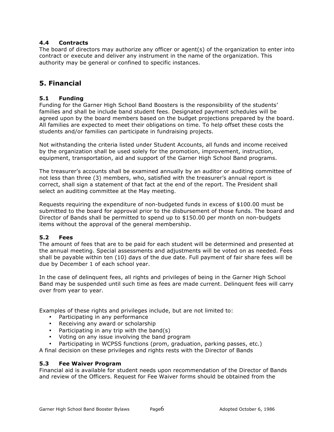# **4.4 Contracts**

The board of directors may authorize any officer or agent(s) of the organization to enter into contract or execute and deliver any instrument in the name of the organization. This authority may be general or confined to specific instances.

# **5. Financial**

# **5.1 Funding**

Funding for the Garner High School Band Boosters is the responsibility of the students' families and shall be include band student fees. Designated payment schedules will be agreed upon by the board members based on the budget projections prepared by the board. All families are expected to meet their obligations on time. To help offset these costs the students and/or families can participate in fundraising projects.

Not withstanding the criteria listed under Student Accounts, all funds and income received by the organization shall be used solely for the promotion, improvement, instruction, equipment, transportation, aid and support of the Garner High School Band programs.

The treasurer's accounts shall be examined annually by an auditor or auditing committee of not less than three (3) members, who, satisfied with the treasurer's annual report is correct, shall sign a statement of that fact at the end of the report. The President shall select an auditing committee at the May meeting.

Requests requiring the expenditure of non-budgeted funds in excess of \$100.00 must be submitted to the board for approval prior to the disbursement of those funds. The board and Director of Bands shall be permitted to spend up to \$150.00 per month on non-budgets items without the approval of the general membership.

## **5.2 Fees**

The amount of fees that are to be paid for each student will be determined and presented at the annual meeting. Special assessments and adjustments will be voted on as needed. Fees shall be payable within ten (10) days of the due date. Full payment of fair share fees will be due by December 1 of each school year.

In the case of delinquent fees, all rights and privileges of being in the Garner High School Band may be suspended until such time as fees are made current. Delinquent fees will carry over from year to year.

Examples of these rights and privileges include, but are not limited to:

- Participating in any performance
- Receiving any award or scholarship
- Participating in any trip with the band(s)
- Voting on any issue involving the band program
- Participating in WCPSS functions (prom, graduation, parking passes, etc.)

A final decision on these privileges and rights rests with the Director of Bands

## **5.3 Fee Waiver Program**

Financial aid is available for student needs upon recommendation of the Director of Bands and review of the Officers. Request for Fee Waiver forms should be obtained from the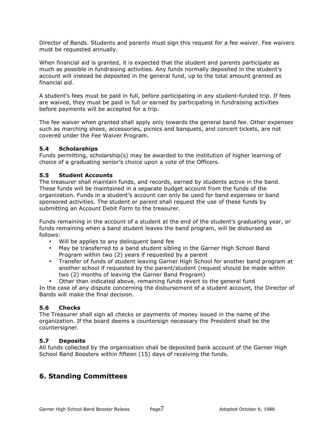Director of Bands. Students and parents must sign this request for a fee waiver. Fee waivers must be requested annually.

When financial aid is granted, it is expected that the student and parents participate as much as possible in fundraising activities. Any funds normally deposited in the student's account will instead be deposited in the general fund, up to the total amount granted as financial aid.

A student's fees must be paid in full, before participating in any student-funded trip. If fees are waived, they must be paid in full or earned by participating in fundraising activities before payments will be accepted for a trip.

The fee waiver when granted shall apply only towards the general band fee. Other expenses such as marching shoes, accessories, picnics and banquets, and concert tickets, are not covered under the Fee Waiver Program.

## **5.4 Scholarships**

Funds permitting, scholarship(s) may be awarded to the institution of higher learning of choice of a graduating senior's choice upon a vote of the Officers.

## **5.5 Student Accounts**

The treasurer shall maintain funds, and records, earned by students active in the band. These funds will be maintained in a separate budget account from the funds of the organization. Funds in a student's account can only be used for band expenses or band sponsored activities. The student or parent shall request the use of these funds by submitting an Account Debit Form to the treasurer.

Funds remaining in the account of a student at the end of the student's graduating year, or funds remaining when a band student leaves the band program, will be disbursed as follows:

- Will be applies to any delinquent band fee
- May be transferred to a band student sibling in the Garner High School Band Program within two (2) years if requested by a parent
- Transfer of funds of student leaving Garner High School for another band program at another school if requested by the parent/student (request should be made within two (2) months of leaving the Garner Band Program)
- Other than indicated above, remaining funds revert to the general fund

In the case of any dispute concerning the disbursement of a student account, the Director of Bands will make the final decision.

## **5.6 Checks**

The Treasurer shall sign all checks or payments of money issued in the name of the organization. If the board deems a countersign necessary the President shall be the countersigner.

## **5.7 Deposits**

All funds collected by the organization shall be deposited bank account of the Garner High School Band Boosters within fifteen (15) days of receiving the funds.

# **6. Standing Committees**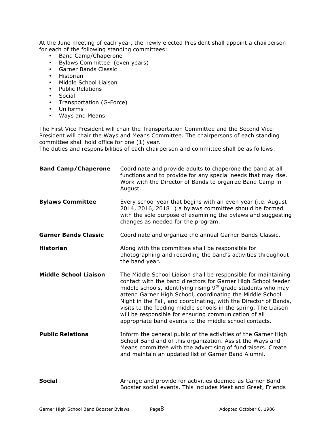At the June meeting of each year, the newly elected President shall appoint a chairperson for each of the following standing committees:

- Band Camp/Chaperone
- Bylaws Committee (even years)
- Garner Bands Classic
- Historian
- Middle School Liaison
- Public Relations
- Social
- Transportation (G-Force)
- Uniforms
- Ways and Means

The First Vice President will chair the Transportation Committee and the Second Vice President will chair the Ways and Means Committee. The chairpersons of each standing committee shall hold office for one (1) year.

The duties and responsibilities of each chairperson and committee shall be as follows:

| <b>Band Camp/Chaperone</b>   | Coordinate and provide adults to chaperone the band at all<br>functions and to provide for any special needs that may rise.<br>Work with the Director of Bands to organize Band Camp in<br>August.                                                                                                                                                                                                                                                                                                                                  |
|------------------------------|-------------------------------------------------------------------------------------------------------------------------------------------------------------------------------------------------------------------------------------------------------------------------------------------------------------------------------------------------------------------------------------------------------------------------------------------------------------------------------------------------------------------------------------|
| <b>Bylaws Committee</b>      | Every school year that begins with an even year (i.e. August<br>2014, 2016, 2018) a bylaws committee should be formed<br>with the sole purpose of examining the bylaws and suggesting<br>changes as needed for the program.                                                                                                                                                                                                                                                                                                         |
| <b>Garner Bands Classic</b>  | Coordinate and organize the annual Garner Bands Classic.                                                                                                                                                                                                                                                                                                                                                                                                                                                                            |
| <b>Historian</b>             | Along with the committee shall be responsible for<br>photographing and recording the band's activities throughout<br>the band year.                                                                                                                                                                                                                                                                                                                                                                                                 |
| <b>Middle School Liaison</b> | The Middle School Liaison shall be responsible for maintaining<br>contact with the band directors for Garner High School feeder<br>middle schools, identifying rising 9 <sup>th</sup> grade students who may<br>attend Garner High School, coordinating the Middle School<br>Night in the Fall, and coordinating, with the Director of Bands,<br>visits to the feeding middle schools in the spring. The Liaison<br>will be responsible for ensuring communication of all<br>appropriate band events to the middle school contacts. |
| <b>Public Relations</b>      | Inform the general public of the activities of the Garner High<br>School Band and of this organization. Assist the Ways and<br>Means committee with the advertising of fundraisers. Create<br>and maintain an updated list of Garner Band Alumni.                                                                                                                                                                                                                                                                                   |
| <b>Social</b>                | Arrange and provide for activities deemed as Garner Band<br>Booster social events. This includes Meet and Greet, Friends                                                                                                                                                                                                                                                                                                                                                                                                            |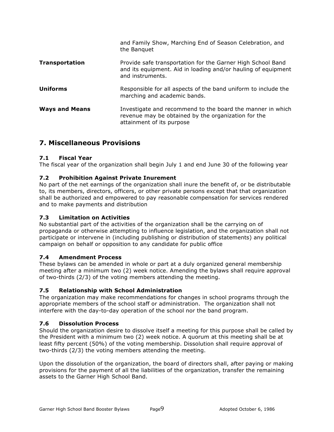|                       | and Family Show, Marching End of Season Celebration, and<br>the Banquet                                                                          |
|-----------------------|--------------------------------------------------------------------------------------------------------------------------------------------------|
| <b>Transportation</b> | Provide safe transportation for the Garner High School Band<br>and its equipment. Aid in loading and/or hauling of equipment<br>and instruments. |
| <b>Uniforms</b>       | Responsible for all aspects of the band uniform to include the<br>marching and academic bands.                                                   |
| <b>Ways and Means</b> | Investigate and recommend to the board the manner in which<br>revenue may be obtained by the organization for the<br>attainment of its purpose   |

# **7. Miscellaneous Provisions**

# **7.1 Fiscal Year**

The fiscal year of the organization shall begin July 1 and end June 30 of the following year

# **7.2 Prohibition Against Private Inurement**

No part of the net earnings of the organization shall inure the benefit of, or be distributable to, its members, directors, officers, or other private persons except that that organization shall be authorized and empowered to pay reasonable compensation for services rendered and to make payments and distribution

## **7.3 Limitation on Activities**

No substantial part of the activities of the organization shall be the carrying on of propaganda or otherwise attempting to influence legislation, and the organization shall not participate or intervene in (including publishing or distribution of statements) any political campaign on behalf or opposition to any candidate for public office

## **7.4 Amendment Process**

These bylaws can be amended in whole or part at a duly organized general membership meeting after a minimum two (2) week notice. Amending the bylaws shall require approval of two-thirds (2/3) of the voting members attending the meeting.

# **7.5 Relationship with School Administration**

The organization may make recommendations for changes in school programs through the appropriate members of the school staff or administration. The organization shall not interfere with the day-to-day operation of the school nor the band program.

## **7.6 Dissolution Process**

Should the organization desire to dissolve itself a meeting for this purpose shall be called by the President with a minimum two (2) week notice. A quorum at this meeting shall be at least fifty percent (50%) of the voting membership. Dissolution shall require approval of two-thirds (2/3) the voting members attending the meeting.

Upon the dissolution of the organization, the board of directors shall, after paying or making provisions for the payment of all the liabilities of the organization, transfer the remaining assets to the Garner High School Band.